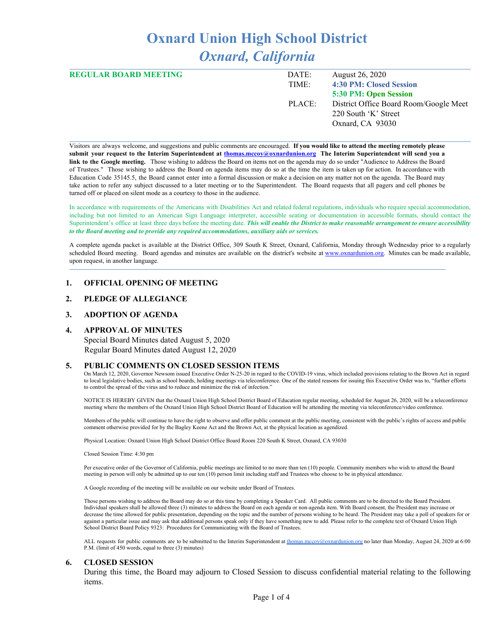# **Oxnard Union High School District** *Oxnard, California*

| <b>REGULAR BOARD MEETING</b> | DATE:  | August 26, 2020                        |
|------------------------------|--------|----------------------------------------|
|                              | TIME:  | 4:30 PM: Closed Session                |
|                              |        | 5:30 PM: Open Session                  |
|                              | PLACE: | District Office Board Room/Google Meet |
|                              |        | 220 South 'K' Street                   |
|                              |        | Oxnard, CA 93030                       |
|                              |        |                                        |

Visitors are always welcome, and suggestions and public comments are encouraged. **If you would like to attend the meeting remotely please** submit your request to the Interim Superintendent at [thomas.mccoy@oxnardunion.org](mailto:thomas.mccoy@oxnardunion.org) The Interim Superintendent will send you a **link to the Google meeting.** Those wishing to address the Board on items not on the agenda may do so under "Audience to Address the Board of Trustees." Those wishing to address the Board on agenda items may do so at the time the item is taken up for action. In accordance with Education Code 35145.5, the Board cannot enter into a formal discussion or make a decision on any matter not on the agenda. The Board may take action to refer any subject discussed to a later meeting or to the Superintendent. The Board requests that all pagers and cell phones be turned off or placed on silent mode as a courtesy to those in the audience.

In accordance with requirements of the Americans with Disabilities Act and related federal regulations, individuals who require special accommodation, including but not limited to an American Sign Language interpreter, accessible seating or documentation in accessible formats, should contact the Superintendent's office at least three days before the meeting date. This will enable the District to make reasonable arrangement to ensure accessibility *to the Board meeting and to provide any required accommodations, auxiliary aids or services.*

A complete agenda packet is available at the District Office, 309 South K Street, Oxnard, California, Monday through Wednesday prior to a regularly scheduled Board meeting. Board agendas and minutes are available on the district's website at [www.ox](http://www.o/)nardunion.org. Minutes can be made available, upon request, in another language.

#### **1. OFFICIAL OPENING OF MEETING**

#### **2. PLEDGE OF ALLEGIANCE**

#### **3. ADOPTION OF AGENDA**

#### **4. APPROVAL OF MINUTES**

Special Board Minutes dated August 5, 2020 Regular Board Minutes dated August 12, 2020

#### **5. PUBLIC COMMENTS ON CLOSED SESSION ITEMS**

On March 12, 2020, Governor Newsom issued Executive Order N-25-20 in regard to the COVID-19 virus, which included provisions relating to the Brown Act in regard to local legislative bodies, such as school boards, holding meetings via teleconference. One of the stated reasons for issuing this Executive Order was to, "further efforts to control the spread of the virus and to reduce and minimize the risk of infection."

NOTICE IS HEREBY GIVEN that the Oxnard Union High School District Board of Education regular meeting, scheduled for August 26, 2020, will be a teleconference meeting where the members of the Oxnard Union High School District Board of Education will be attending the meeting via teleconference/video conference.

Members of the public will continue to have the right to observe and offer public comment at the public meeting, consistent with the public's rights of access and public comment otherwise provided for by the Bagley Keene Act and the Brown Act, at the physical location as agendized.

Physical Location: Oxnard Union High School District Office Board Room 220 South K Street, Oxnard, CA 93030

Closed Session Time: 4:30 pm

Per executive order of the Governor of California, public meetings are limited to no more than ten (10) people. Community members who wish to attend the Board meeting in person will only be admitted up to our ten (10) person limit including staff and Trustees who choose to be in physical attendance.

A Google recording of the meeting will be available on our website under Board of Trustees.

Those persons wishing to address the Board may do so at this time by completing a Speaker Card. All public comments are to be directed to the Board President. Individual speakers shall be allowed three (3) minutes to address the Board on each agenda or non-agenda item. With Board consent, the President may increase or decrease the time allowed for public presentation, depending on the topic and the number of persons wishing to be heard. The President may take a poll of speakers for or against a particular issue and may ask that additional persons speak only if they have something new to add. Please refer to the complete text of Oxnard Union High School District Board Policy 9323: Procedures for Communicating with the Board of Trustees.

ALL requests for public comments are to be submitted to the Interim Superintendent at [thomas.mccoy@oxnardunion.org](mailto:thomas.mccoy@oxnardunion.org) no later than Monday, August 24, 2020 at 6:00 P.M. (limit of 450 words, equal to three (3) minutes)

#### **6. CLOSED SESSION**

During this time, the Board may adjourn to Closed Session to discuss confidential material relating to the following items.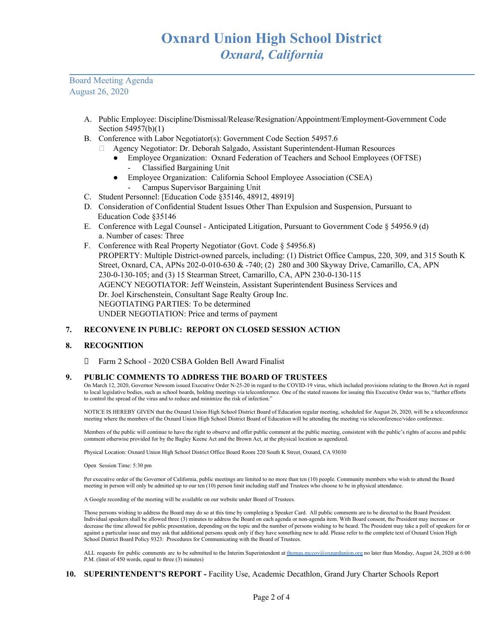Board Meeting Agenda August 26, 2020

- A. Public Employee: Discipline/Dismissal/Release/Resignation/Appointment/Employment-Government Code Section 54957(b)(1)
- B. Conference with Labor Negotiator(s): Government Code Section 54957.6
	- Agency Negotiator: Dr. Deborah Salgado, Assistant Superintendent-Human Resources
		- Employee Organization: Oxnard Federation of Teachers and School Employees (OFTSE)
			- Classified Bargaining Unit
		- Employee Organization: California School Employee Association (CSEA) - Campus Supervisor Bargaining Unit
- C. Student Personnel: [Education Code §35146, 48912, 48919]
- D. Consideration of Confidential Student Issues Other Than Expulsion and Suspension, Pursuant to Education Code §35146
- E. Conference with Legal Counsel Anticipated Litigation, Pursuant to Government Code § 54956.9 (d) a. Number of cases: Three
- F. Conference with Real Property Negotiator (Govt. Code § 54956.8) PROPERTY: Multiple District-owned parcels, including: (1) District Office Campus, 220, 309, and 315 South K Street, Oxnard, CA, APNs 202-0-010-630 & -740; (2) 280 and 300 Skyway Drive, Camarillo, CA, APN 230-0-130-105; and (3) 15 Stearman Street, Camarillo, CA, APN 230-0-130-115 AGENCY NEGOTIATOR: Jeff Weinstein, Assistant Superintendent Business Services and Dr. Joel Kirschenstein, Consultant Sage Realty Group Inc. NEGOTIATING PARTIES: To be determined UNDER NEGOTIATION: Price and terms of payment

### **7. RECONVENE IN PUBLIC: REPORT ON CLOSED SESSION ACTION**

### **8. RECOGNITION**

Farm 2 School - 2020 CSBA Golden Bell Award Finalist

### **9. PUBLIC COMMENTS TO ADDRESS THE BOARD OF TRUSTEES**

On March 12, 2020, Governor Newsom issued Executive Order N-25-20 in regard to the COVID-19 virus, which included provisions relating to the Brown Act in regard to local legislative bodies, such as school boards, holding meetings via teleconference. One of the stated reasons for issuing this Executive Order was to, "further efforts to control the spread of the virus and to reduce and minimize the risk of infection."

NOTICE IS HEREBY GIVEN that the Oxnard Union High School District Board of Education regular meeting, scheduled for August 26, 2020, will be a teleconference meeting where the members of the Oxnard Union High School District Board of Education will be attending the meeting via teleconference/video conference.

Members of the public will continue to have the right to observe and offer public comment at the public meeting, consistent with the public's rights of access and public comment otherwise provided for by the Bagley Keene Act and the Brown Act, at the physical location as agendized.

Physical Location: Oxnard Union High School District Office Board Room 220 South K Street, Oxnard, CA 93030

Open Session Time: 5:30 pm

Per executive order of the Governor of California, public meetings are limited to no more than ten (10) people. Community members who wish to attend the Board meeting in person will only be admitted up to our ten (10) person limit including staff and Trustees who choose to be in physical attendance.

A Google recording of the meeting will be available on our website under Board of Trustees.

Those persons wishing to address the Board may do so at this time by completing a Speaker Card. All public comments are to be directed to the Board President. Individual speakers shall be allowed three (3) minutes to address the Board on each agenda or non-agenda item. With Board consent, the President may increase or decrease the time allowed for public presentation, depending on the topic and the number of persons wishing to be heard. The President may take a poll of speakers for or against a particular issue and may ask that additional persons speak only if they have something new to add. Please refer to the complete text of Oxnard Union High School District Board Policy 9323: Procedures for Communicating with the Board of Trustees.

ALL requests for public comments are to be submitted to the Interim Superintendent at [thomas.mccoy@oxnardunion.org](mailto:thomas.mccoy@oxnardunion.org) no later than Monday, August 24, 2020 at 6:00 P.M. (limit of 450 words, equal to three (3) minutes)

### **10. SUPERINTENDENT'S REPORT -** Facility Use, Academic Decathlon, Grand Jury Charter Schools Report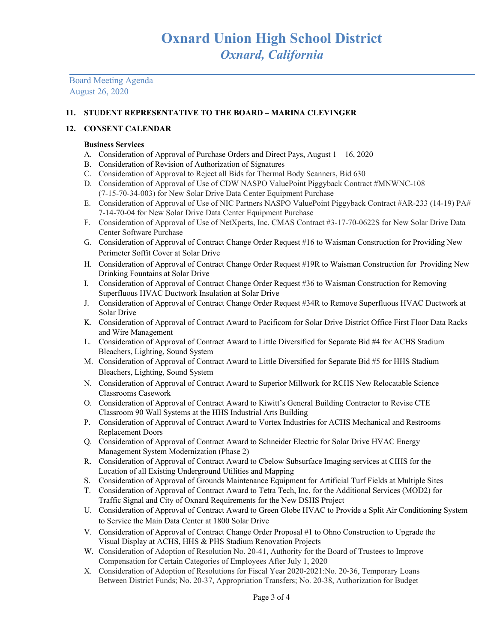Board Meeting Agenda August 26, 2020

# **11. STUDENT REPRESENTATIVE TO THE BOARD – MARINA CLEVINGER**

## **12. CONSENT CALENDAR**

## **Business Services**

- A. Consideration of Approval of Purchase Orders and Direct Pays, August 1 16, 2020
- B. Consideration of Revision of Authorization of Signatures
- C. Consideration of Approval to Reject all Bids for Thermal Body Scanners, Bid 630
- D. Consideration of Approval of Use of CDW NASPO ValuePoint Piggyback Contract #MNWNC-108 (7-15-70-34-003) for New Solar Drive Data Center Equipment Purchase
- E. Consideration of Approval of Use of NIC Partners NASPO ValuePoint Piggyback Contract #AR-233 (14-19) PA# 7-14-70-04 for New Solar Drive Data Center Equipment Purchase
- F. Consideration of Approval of Use of NetXperts, Inc. CMAS Contract #3-17-70-0622S for New Solar Drive Data Center Software Purchase
- G. Consideration of Approval of Contract Change Order Request #16 to Waisman Construction for Providing New Perimeter Soffit Cover at Solar Drive
- H. Consideration of Approval of Contract Change Order Request #19R to Waisman Construction for Providing New Drinking Fountains at Solar Drive
- I. Consideration of Approval of Contract Change Order Request #36 to Waisman Construction for Removing Superfluous HVAC Ductwork Insulation at Solar Drive
- J. Consideration of Approval of Contract Change Order Request #34R to Remove Superfluous HVAC Ductwork at Solar Drive
- K. Consideration of Approval of Contract Award to Pacificom for Solar Drive District Office First Floor Data Racks and Wire Management
- L. Consideration of Approval of Contract Award to Little Diversified for Separate Bid #4 for ACHS Stadium Bleachers, Lighting, Sound System
- M. Consideration of Approval of Contract Award to Little Diversified for Separate Bid #5 for HHS Stadium Bleachers, Lighting, Sound System
- N. Consideration of Approval of Contract Award to Superior Millwork for RCHS New Relocatable Science Classrooms Casework
- O. Consideration of Approval of Contract Award to Kiwitt's General Building Contractor to Revise CTE Classroom 90 Wall Systems at the HHS Industrial Arts Building
- P. Consideration of Approval of Contract Award to Vortex Industries for ACHS Mechanical and Restrooms Replacement Doors
- Q. Consideration of Approval of Contract Award to Schneider Electric for Solar Drive HVAC Energy Management System Modernization (Phase 2)
- R. Consideration of Approval of Contract Award to Cbelow Subsurface Imaging services at CIHS for the Location of all Existing Underground Utilities and Mapping
- S. Consideration of Approval of Grounds Maintenance Equipment for Artificial Turf Fields at Multiple Sites
- T. Consideration of Approval of Contract Award to Tetra Tech, Inc. for the Additional Services (MOD2) for Traffic Signal and City of Oxnard Requirements for the New DSHS Project
- U. Consideration of Approval of Contract Award to Green Globe HVAC to Provide a Split Air Conditioning System to Service the Main Data Center at 1800 Solar Drive
- V. Consideration of Approval of Contract Change Order Proposal #1 to Ohno Construction to Upgrade the Visual Display at ACHS, HHS & PHS Stadium Renovation Projects
- W. Consideration of Adoption of Resolution No. 20-41, Authority for the Board of Trustees to Improve Compensation for Certain Categories of Employees After July 1, 2020
- X. Consideration of Adoption of Resolutions for Fiscal Year 2020-2021:No. 20-36, Temporary Loans Between District Funds; No. 20-37, Appropriation Transfers; No. 20-38, Authorization for Budget